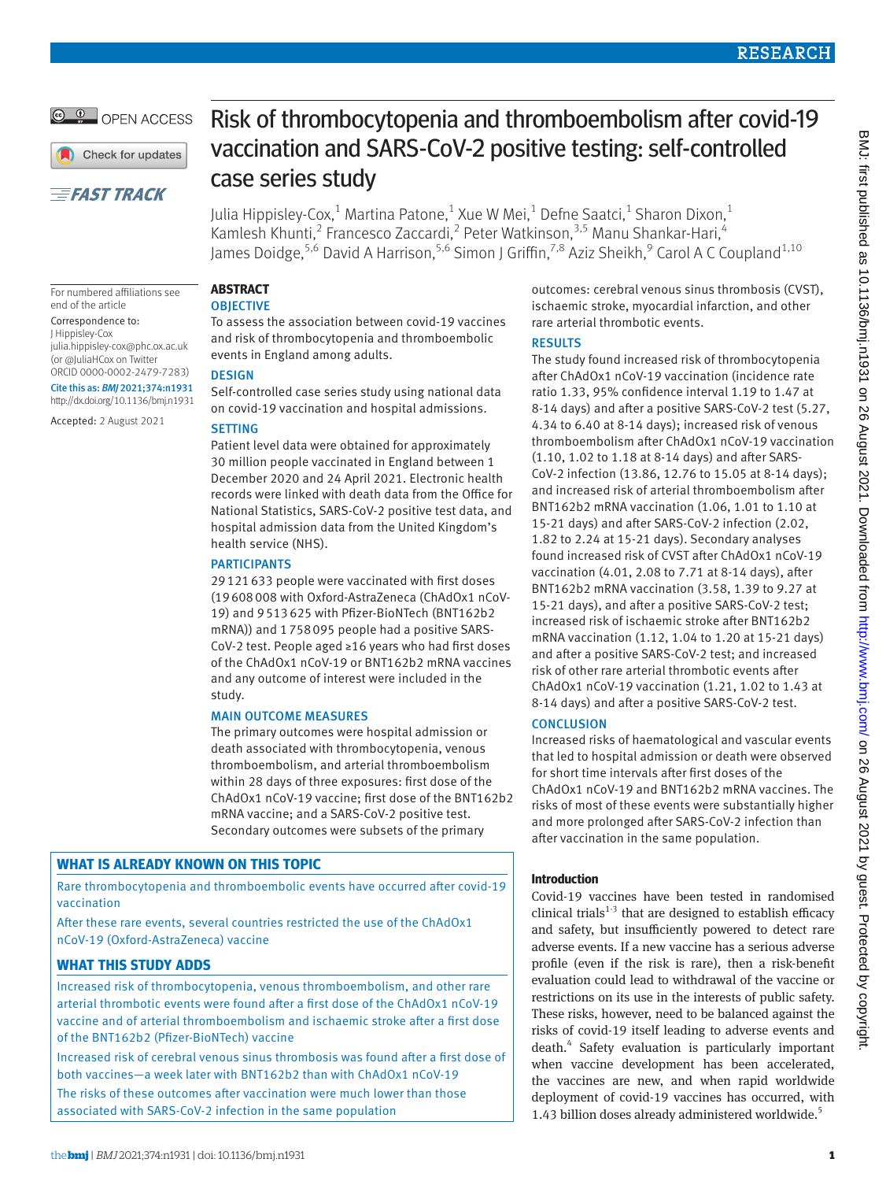© <sup>0</sup> OPEN ACCESS

Check for updates

# **EFAST TRACK**

For numbered affiliations see

[julia.hippisley-cox@phc.ox.ac.uk](mailto:julia.hippisley-cox@phc.ox.ac.uk) (or [@JuliaHCox](https://twitter.com/JuliaHCox?ref_src=twsrc%5Egoogle%7Ctwcamp%5Eserp%7Ctwgr%5Eauthor) on Twitter ORCID [0000-0002-2479-7283](https://orcid.org/0000-0002-2479-7283)) Cite this as: *BMJ* 2021;374:n1931 http://dx.doi.org/10.1136/bmj.n1931 Accepted: 2 August 2021

end of the article Correspondence to: J Hippisley-Cox

Risk of thrombocytopenia and thromboembolism after covid-19 vaccination and SARS-CoV-2 positive testing: self-controlled case series study

Julia Hippisley-Cox, $^1$  Martina Patone, $^1$  Xue W Mei, $^1$  Defne Saatci, $^1$  Sharon Dixon, $^1$ Kamlesh Khunti,<sup>2</sup> Francesco Zaccardi,<sup>2</sup> Peter Watkinson,<sup>3,5</sup> Manu Shankar-Hari,<sup>4</sup> James Doidge,<sup>5,6</sup> David A Harrison,<sup>5,6</sup> Simon J Griffin,<sup>7,8</sup> Aziz Sheikh,<sup>9</sup> Carol A C Coupland<sup>1,10</sup>

# **ABSTRACT**

## **OBJECTIVE**

To assess the association between covid-19 vaccines and risk of thrombocytopenia and thromboembolic events in England among adults.

# **DESIGN**

Self-controlled case series study using national data on covid-19 vaccination and hospital admissions.

# **SETTING**

Patient level data were obtained for approximately 30 million people vaccinated in England between 1 December 2020 and 24 April 2021. Electronic health records were linked with death data from the Office for National Statistics, SARS-CoV-2 positive test data, and hospital admission data from the United Kingdom's health service (NHS).

# **PARTICIPANTS**

29121633 people were vaccinated with first doses (19608008 with Oxford-AstraZeneca (ChAdOx1 nCoV-19) and 9513625 with Pfizer-BioNTech (BNT162b2 mRNA)) and 1758095 people had a positive SARS-CoV-2 test. People aged ≥16 years who had first doses of the ChAdOx1 nCoV-19 or BNT162b2 mRNA vaccines and any outcome of interest were included in the study.

# MAIN OUTCOME MEASURES

The primary outcomes were hospital admission or death associated with thrombocytopenia, venous thromboembolism, and arterial thromboembolism within 28 days of three exposures: first dose of the ChAdOx1 nCoV-19 vaccine; first dose of the BNT162b2 mRNA vaccine; and a SARS-CoV-2 positive test. Secondary outcomes were subsets of the primary

# **WHAT IS ALREADY KNOWN ON THIS TOPIC**

Rare thrombocytopenia and thromboembolic events have occurred after covid-19 vaccination

After these rare events, several countries restricted the use of the ChAdOx1 nCoV-19 (Oxford-AstraZeneca) vaccine

# **WHAT THIS STUDY ADDS**

Increased risk of thrombocytopenia, venous thromboembolism, and other rare arterial thrombotic events were found after a first dose of the ChAdOx1 nCoV-19 vaccine and of arterial thromboembolism and ischaemic stroke after a first dose of the BNT162b2 (Pfizer-BioNTech) vaccine

Increased risk of cerebral venous sinus thrombosis was found after a first dose of both vaccines—a week later with BNT162b2 than with ChAdOx1 nCoV-19

The risks of these outcomes after vaccination were much lower than those associated with SARS-CoV-2 infection in the same population

outcomes: cerebral venous sinus thrombosis (CVST), ischaemic stroke, myocardial infarction, and other rare arterial thrombotic events.

# RESULTS

The study found increased risk of thrombocytopenia after ChAdOx1 nCoV-19 vaccination (incidence rate ratio 1.33, 95% confidence interval 1.19 to 1.47 at 8-14 days) and after a positive SARS-CoV-2 test (5.27, 4.34 to 6.40 at 8-14 days); increased risk of venous thromboembolism after ChAdOx1 nCoV-19 vaccination (1.10, 1.02 to 1.18 at 8-14 days) and after SARS-CoV-2 infection (13.86, 12.76 to 15.05 at 8-14 days); and increased risk of arterial thromboembolism after BNT162b2 mRNA vaccination (1.06, 1.01 to 1.10 at 15-21 days) and after SARS-CoV-2 infection (2.02, 1.82 to 2.24 at 15-21 days). Secondary analyses found increased risk of CVST after ChAdOx1 nCoV-19 vaccination (4.01, 2.08 to 7.71 at 8-14 days), after BNT162b2 mRNA vaccination (3.58, 1.39 to 9.27 at 15-21 days), and after a positive SARS-CoV-2 test; increased risk of ischaemic stroke after BNT162b2 mRNA vaccination (1.12, 1.04 to 1.20 at 15-21 days) and after a positive SARS-CoV-2 test; and increased risk of other rare arterial thrombotic events after ChAdOx1 nCoV-19 vaccination (1.21, 1.02 to 1.43 at 8-14 days) and after a positive SARS-CoV-2 test.

# **CONCLUSION**

Increased risks of haematological and vascular events that led to hospital admission or death were observed for short time intervals after first doses of the ChAdOx1 nCoV-19 and BNT162b2 mRNA vaccines. The risks of most of these events were substantially higher and more prolonged after SARS-CoV-2 infection than after vaccination in the same population.

# **Introduction**

Covid-19 vaccines have been tested in randomised clinical trials $1-3$  that are designed to establish efficacy and safety, but insufficiently powered to detect rare adverse events. If a new vaccine has a serious adverse profile (even if the risk is rare), then a risk-benefit evaluation could lead to withdrawal of the vaccine or restrictions on its use in the interests of public safety. These risks, however, need to be balanced against the risks of covid-19 itself leading to adverse events and death.<sup>4</sup> Safety evaluation is particularly important when vaccine development has been accelerated, the vaccines are new, and when rapid worldwide deployment of covid-19 vaccines has occurred, with 1.43 billion doses already administered worldwide.<sup>5</sup>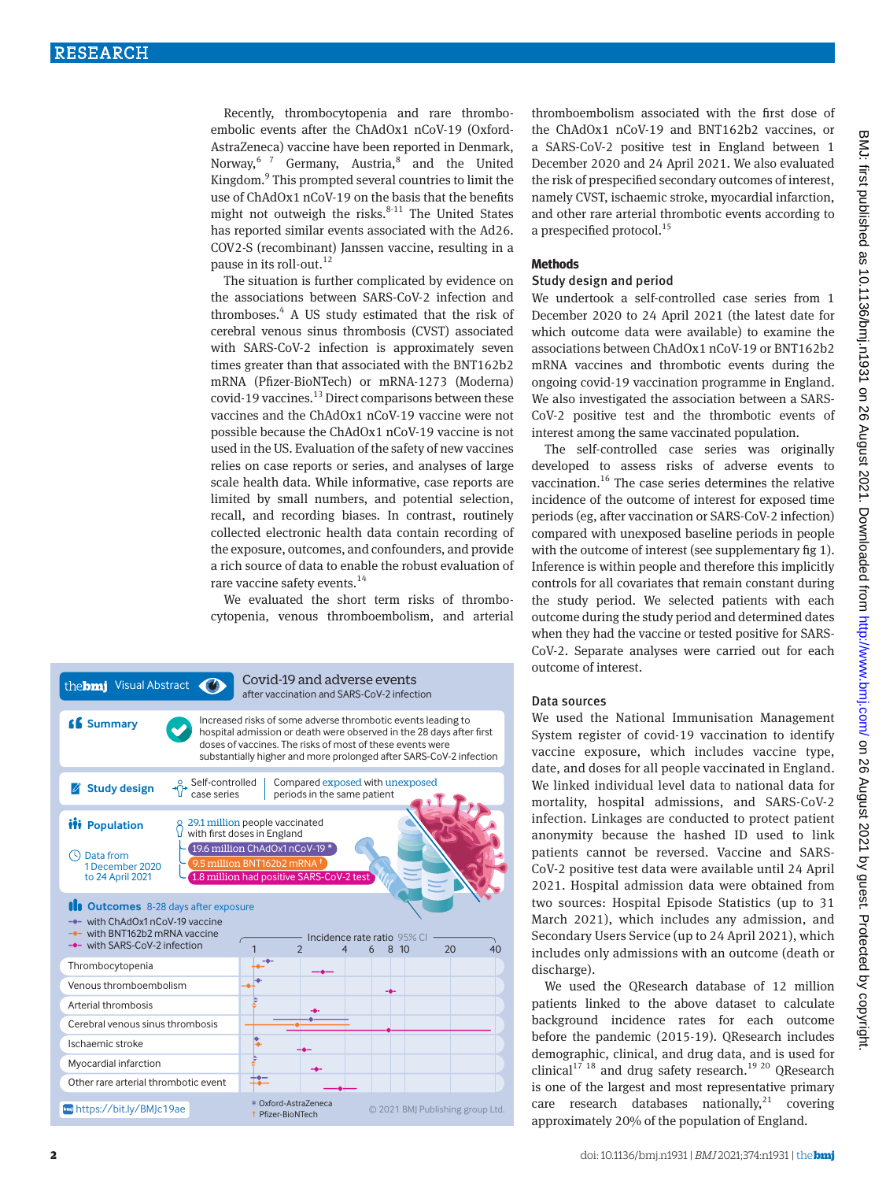Recently, thrombocytopenia and rare thromboembolic events after the ChAdOx1 nCoV-19 (Oxford-AstraZeneca) vaccine have been reported in Denmark, Norway, <sup>67</sup> Germany, Austria,<sup>8</sup> and the United Kingdom.<sup>9</sup> This prompted several countries to limit the use of ChAdOx1 nCoV-19 on the basis that the benefits might not outweigh the risks. $8-11$  The United States has reported similar events associated with the Ad26. COV2-S (recombinant) Janssen vaccine, resulting in a pause in its roll-out. $12$ 

The situation is further complicated by evidence on the associations between SARS-CoV-2 infection and thromboses.<sup>4</sup> A US study estimated that the risk of cerebral venous sinus thrombosis (CVST) associated with SARS-CoV-2 infection is approximately seven times greater than that associated with the BNT162b2 mRNA (Pfizer-BioNTech) or mRNA-1273 (Moderna)  $\frac{1}{9}$  covid-19 vaccines.<sup>13</sup> Direct comparisons between these vaccines and the ChAdOx1 nCoV-19 vaccine were not possible because the ChAdOx1 nCoV-19 vaccine is not used in the US. Evaluation of the safety of new vaccines relies on case reports or series, and analyses of large scale health data. While informative, case reports are limited by small numbers, and potential selection, recall, and recording biases. In contrast, routinely collected electronic health data contain recording of the exposure, outcomes, and confounders, and provide a rich source of data to enable the robust evaluation of rare vaccine safety events.<sup>14</sup>

We evaluated the short term risks of thrombocytopenia, venous thromboembolism, and arterial



thromboembolism associated with the first dose of the ChAdOx1 nCoV-19 and BNT162b2 vaccines, or a SARS-CoV-2 positive test in England between 1 December 2020 and 24 April 2021. We also evaluated the risk of prespecified secondary outcomes of interest, namely CVST, ischaemic stroke, myocardial infarction, and other rare arterial thrombotic events according to a prespecified protocol.<sup>15</sup>

### **Methods**

#### Study design and period

We undertook a self-controlled case series from 1 December 2020 to 24 April 2021 (the latest date for which outcome data were available) to examine the associations between ChAdOx1 nCoV-19 or BNT162b2 mRNA vaccines and thrombotic events during the ongoing covid-19 vaccination programme in England. We also investigated the association between a SARS-CoV-2 positive test and the thrombotic events of interest among the same vaccinated population.

The self-controlled case series was originally developed to assess risks of adverse events to vaccination.16 The case series determines the relative incidence of the outcome of interest for exposed time periods (eg, after vaccination or SARS-CoV-2 infection) compared with unexposed baseline periods in people with the outcome of interest (see supplementary fig 1). Inference is within people and therefore this implicitly controls for all covariates that remain constant during the study period. We selected patients with each outcome during the study period and determined dates when they had the vaccine or tested positive for SARS-CoV-2. Separate analyses were carried out for each outcome of interest.

## Data sources

We used the National Immunisation Management System register of covid-19 vaccination to identify vaccine exposure, which includes vaccine type, date, and doses for all people vaccinated in England. We linked individual level data to national data for mortality, hospital admissions, and SARS-CoV-2 infection. Linkages are conducted to protect patient anonymity because the hashed ID used to link patients cannot be reversed. Vaccine and SARS-CoV-2 positive test data were available until 24 April 2021. Hospital admission data were obtained from two sources: Hospital Episode Statistics (up to 31 March 2021), which includes any admission, and Secondary Users Service (up to 24 April 2021), which includes only admissions with an outcome (death or discharge).

We used the QResearch database of 12 million patients linked to the above dataset to calculate background incidence rates for each outcome before the pandemic (2015-19). QResearch includes demographic, clinical, and drug data, and is used for clinical<sup>17 18</sup> and drug safety research.<sup>19 20</sup> QResearch is one of the largest and most representative primary care research databases nationally, $21$  covering approximately 20% of the population of England.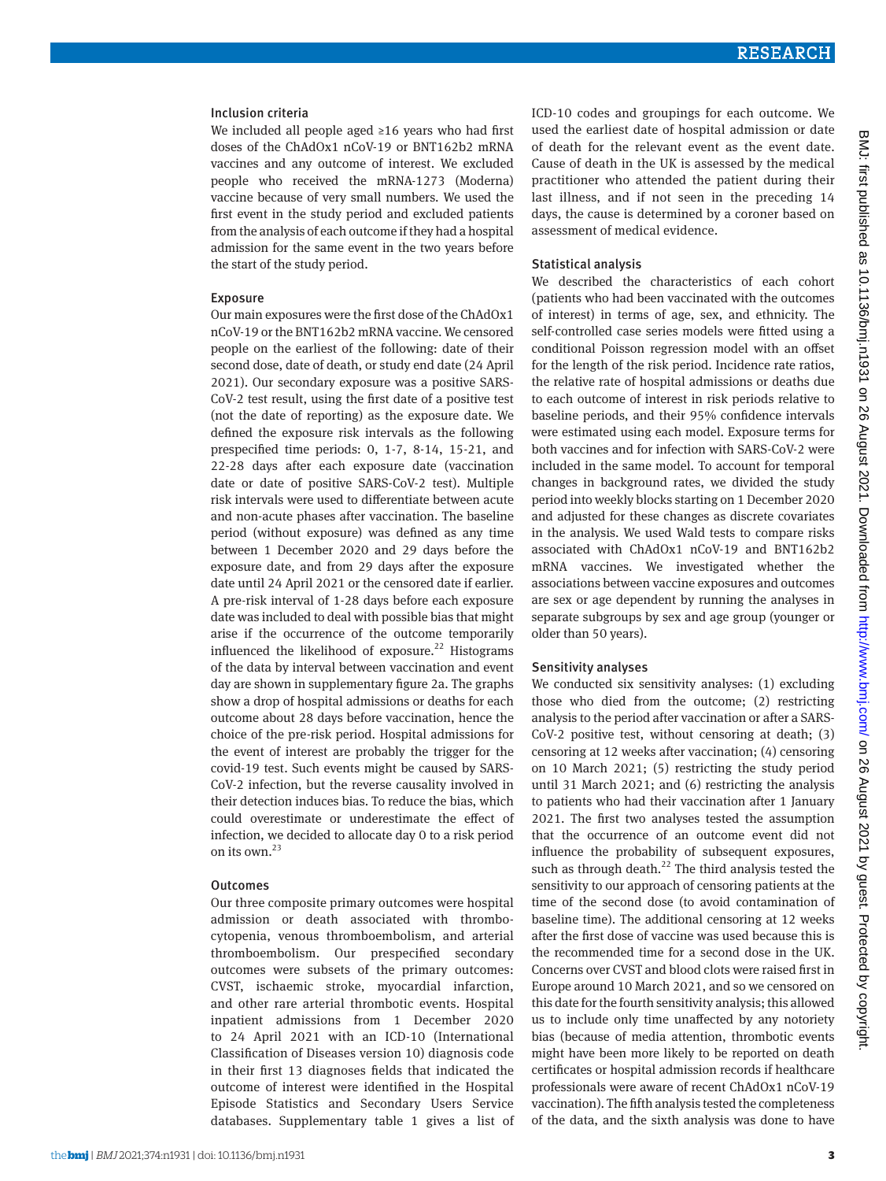#### Inclusion criteria

We included all people aged ≥16 years who had first doses of the ChAdOx1 nCoV-19 or BNT162b2 mRNA vaccines and any outcome of interest. We excluded people who received the mRNA-1273 (Moderna) vaccine because of very small numbers. We used the first event in the study period and excluded patients from the analysis of each outcome if they had a hospital admission for the same event in the two years before the start of the study period.

#### Exposure

Our main exposures were the first dose of the ChAdOx1 nCoV-19 or the BNT162b2 mRNA vaccine. We censored people on the earliest of the following: date of their second dose, date of death, or study end date (24 April 2021). Our secondary exposure was a positive SARS-CoV-2 test result, using the first date of a positive test (not the date of reporting) as the exposure date. We defined the exposure risk intervals as the following prespecified time periods: 0, 1-7, 8-14, 15-21, and 22-28 days after each exposure date (vaccination date or date of positive SARS-CoV-2 test). Multiple risk intervals were used to differentiate between acute and non-acute phases after vaccination. The baseline period (without exposure) was defined as any time between 1 December 2020 and 29 days before the exposure date, and from 29 days after the exposure date until 24 April 2021 or the censored date if earlier. A pre-risk interval of 1-28 days before each exposure date was included to deal with possible bias that might arise if the occurrence of the outcome temporarily influenced the likelihood of exposure.<sup>22</sup> Histograms of the data by interval between vaccination and event day are shown in supplementary figure 2a. The graphs show a drop of hospital admissions or deaths for each outcome about 28 days before vaccination, hence the choice of the pre-risk period. Hospital admissions for the event of interest are probably the trigger for the covid-19 test. Such events might be caused by SARS-CoV-2 infection, but the reverse causality involved in their detection induces bias. To reduce the bias, which could overestimate or underestimate the effect of infection, we decided to allocate day 0 to a risk period on its own.<sup>23</sup>

## **Outcomes**

Our three composite primary outcomes were hospital admission or death associated with thrombocytopenia, venous thromboembolism, and arterial thromboembolism. Our prespecified secondary outcomes were subsets of the primary outcomes: CVST, ischaemic stroke, myocardial infarction, and other rare arterial thrombotic events. Hospital inpatient admissions from 1 December 2020 to 24 April 2021 with an ICD-10 (International Classification of Diseases version 10) diagnosis code in their first 13 diagnoses fields that indicated the outcome of interest were identified in the Hospital Episode Statistics and Secondary Users Service databases. Supplementary table 1 gives a list of ICD-10 codes and groupings for each outcome. We used the earliest date of hospital admission or date of death for the relevant event as the event date. Cause of death in the UK is assessed by the medical practitioner who attended the patient during their last illness, and if not seen in the preceding 14 days, the cause is determined by a coroner based on assessment of medical evidence.

### Statistical analysis

We described the characteristics of each cohort (patients who had been vaccinated with the outcomes of interest) in terms of age, sex, and ethnicity. The self-controlled case series models were fitted using a conditional Poisson regression model with an offset for the length of the risk period. Incidence rate ratios, the relative rate of hospital admissions or deaths due to each outcome of interest in risk periods relative to baseline periods, and their 95% confidence intervals were estimated using each model. Exposure terms for both vaccines and for infection with SARS-CoV-2 were included in the same model. To account for temporal changes in background rates, we divided the study period into weekly blocks starting on 1 December 2020 and adjusted for these changes as discrete covariates in the analysis. We used Wald tests to compare risks associated with ChAdOx1 nCoV-19 and BNT162b2 mRNA vaccines. We investigated whether the associations between vaccine exposures and outcomes are sex or age dependent by running the analyses in separate subgroups by sex and age group (younger or older than 50 years).

### Sensitivity analyses

We conducted six sensitivity analyses: (1) excluding those who died from the outcome; (2) restricting analysis to the period after vaccination or after a SARS-CoV-2 positive test, without censoring at death; (3) censoring at 12 weeks after vaccination; (4) censoring on 10 March 2021; (5) restricting the study period until 31 March 2021; and (6) restricting the analysis to patients who had their vaccination after 1 January 2021. The first two analyses tested the assumption that the occurrence of an outcome event did not influence the probability of subsequent exposures, such as through death. $^{22}$  The third analysis tested the sensitivity to our approach of censoring patients at the time of the second dose (to avoid contamination of baseline time). The additional censoring at 12 weeks after the first dose of vaccine was used because this is the recommended time for a second dose in the UK. Concerns over CVST and blood clots were raised first in Europe around 10 March 2021, and so we censored on this date for the fourth sensitivity analysis; this allowed us to include only time unaffected by any notoriety bias (because of media attention, thrombotic events might have been more likely to be reported on death certificates or hospital admission records if healthcare professionals were aware of recent ChAdOx1 nCoV-19 vaccination). The fifth analysis tested the completeness of the data, and the sixth analysis was done to have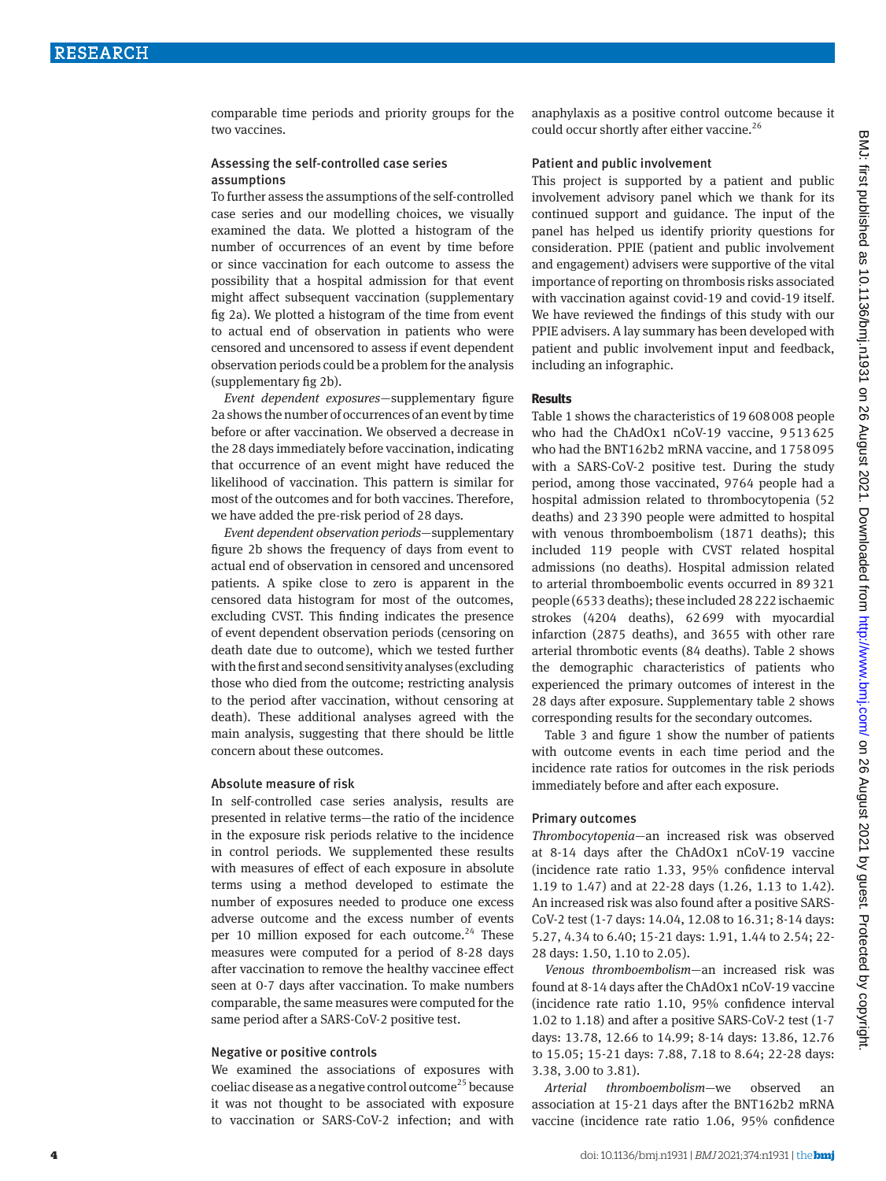## Assessing the self-controlled case series assumptions

To further assess the assumptions of the self-controlled case series and our modelling choices, we visually examined the data. We plotted a histogram of the number of occurrences of an event by time before or since vaccination for each outcome to assess the possibility that a hospital admission for that event might affect subsequent vaccination (supplementary fig 2a). We plotted a histogram of the time from event to actual end of observation in patients who were censored and uncensored to assess if event dependent observation periods could be a problem for the analysis (supplementary fig 2b).

*Event dependent exposures*—supplementary figure 2a shows the number of occurrences of an event by time before or after vaccination. We observed a decrease in the 28 days immediately before vaccination, indicating that occurrence of an event might have reduced the likelihood of vaccination. This pattern is similar for most of the outcomes and for both vaccines. Therefore, we have added the pre-risk period of 28 days.

*Event dependent observation periods*—supplementary figure 2b shows the frequency of days from event to actual end of observation in censored and uncensored patients. A spike close to zero is apparent in the censored data histogram for most of the outcomes, excluding CVST. This finding indicates the presence of event dependent observation periods (censoring on death date due to outcome), which we tested further with the first and second sensitivity analyses (excluding those who died from the outcome; restricting analysis to the period after vaccination, without censoring at death). These additional analyses agreed with the main analysis, suggesting that there should be little concern about these outcomes.

### Absolute measure of risk

In self-controlled case series analysis, results are presented in relative terms—the ratio of the incidence in the exposure risk periods relative to the incidence in control periods. We supplemented these results with measures of effect of each exposure in absolute terms using a method developed to estimate the number of exposures needed to produce one excess adverse outcome and the excess number of events per 10 million exposed for each outcome. $24$  These measures were computed for a period of 8-28 days after vaccination to remove the healthy vaccinee effect seen at 0-7 days after vaccination. To make numbers comparable, the same measures were computed for the same period after a SARS-CoV-2 positive test.

### Negative or positive controls

We examined the associations of exposures with coeliac disease as a negative control outcome<sup>25</sup> because it was not thought to be associated with exposure to vaccination or SARS-CoV-2 infection; and with anaphylaxis as a positive control outcome because it could occur shortly after either vaccine.<sup>26</sup>

# Patient and public involvement

This project is supported by a patient and public involvement advisory panel which we thank for its continued support and guidance. The input of the panel has helped us identify priority questions for consideration. PPIE (patient and public involvement and engagement) advisers were supportive of the vital importance of reporting on thrombosis risks associated with vaccination against covid-19 and covid-19 itself. We have reviewed the findings of this study with our PPIE advisers. A lay summary has been developed with patient and public involvement input and feedback, including an infographic.

### **Results**

Table 1 shows the characteristics of 19608008 people who had the ChAdOx1 nCoV-19 vaccine, 9513625 who had the BNT162b2 mRNA vaccine, and 1758095 with a SARS-CoV-2 positive test. During the study period, among those vaccinated, 9764 people had a hospital admission related to thrombocytopenia (52 deaths) and 23390 people were admitted to hospital with venous thromboembolism (1871 deaths); this included 119 people with CVST related hospital admissions (no deaths). Hospital admission related to arterial thromboembolic events occurred in 89321 people (6533 deaths); these included 28222 ischaemic strokes (4204 deaths), 62699 with myocardial infarction (2875 deaths), and 3655 with other rare arterial thrombotic events (84 deaths). Table 2 shows the demographic characteristics of patients who experienced the primary outcomes of interest in the 28 days after exposure. Supplementary table 2 shows corresponding results for the secondary outcomes.

Table 3 and figure 1 show the number of patients with outcome events in each time period and the incidence rate ratios for outcomes in the risk periods immediately before and after each exposure.

# Primary outcomes

*Thrombocytopenia*—an increased risk was observed at 8-14 days after the ChAdOx1 nCoV-19 vaccine (incidence rate ratio 1.33, 95% confidence interval 1.19 to 1.47) and at 22-28 days (1.26, 1.13 to 1.42). An increased risk was also found after a positive SARS-CoV-2 test (1-7 days: 14.04, 12.08 to 16.31; 8-14 days: 5.27, 4.34 to 6.40; 15-21 days: 1.91, 1.44 to 2.54; 22- 28 days: 1.50, 1.10 to 2.05).

*Venous thromboembolism*—an increased risk was found at 8-14 days after the ChAdOx1 nCoV-19 vaccine (incidence rate ratio 1.10, 95% confidence interval 1.02 to 1.18) and after a positive SARS-CoV-2 test (1-7 days: 13.78, 12.66 to 14.99; 8-14 days: 13.86, 12.76 to 15.05; 15-21 days: 7.88, 7.18 to 8.64; 22-28 days: 3.38, 3.00 to 3.81).

*Arterial thromboembolism*—we observed an association at 15-21 days after the BNT162b2 mRNA vaccine (incidence rate ratio 1.06, 95% confidence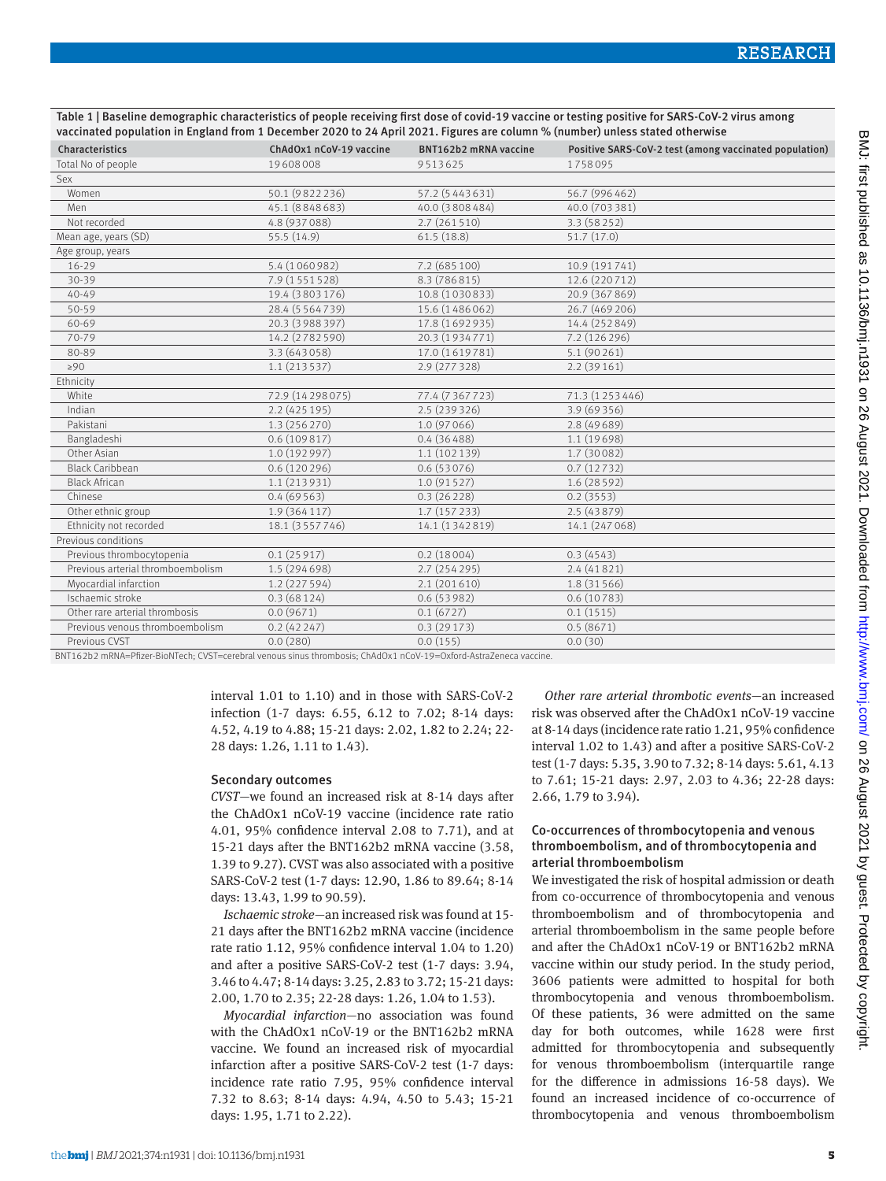Table 1 | Baseline demographic characteristics of people receiving first dose of covid-19 vaccine or testing positive for SARS-CoV-2 virus among vaccinated population in England from 1 December 2020 to 24 April 2021. Figures are column % (number) unless stated otherwise

| Characteristics                   | ChAdOx1 nCoV-19 vaccine | BNT162b2 mRNA vaccine | Positive SARS-CoV-2 test (among vaccinated population) |  |
|-----------------------------------|-------------------------|-----------------------|--------------------------------------------------------|--|
| Total No of people                | 19608008                | 9513625               | 1758095                                                |  |
| Sex                               |                         |                       |                                                        |  |
| Women                             | 50.1 (9822236)          | 57.2 (5443631)        | 56.7 (996 462)                                         |  |
| Men                               | 45.1 (8848683)          | 40.0 (3808 484)       | 40.0 (703 381)                                         |  |
| Not recorded                      | 4.8 (937 088)           | 2.7(261510)           | 3.3 (58252)                                            |  |
| Mean age, years (SD)              | 55.5 (14.9)             | 61.5(18.8)            | 51.7 (17.0)                                            |  |
| Age group, years                  |                         |                       |                                                        |  |
| $16 - 29$                         | 5.4 (1060982)           | 7.2 (685 100)         | 10.9 (191741)                                          |  |
| $30 - 39$                         | 7.9 (1551528)           | 8.3 (786 815)         | 12.6 (220 712)                                         |  |
| $40 - 49$                         | 19.4 (3803176)          | 10.8 (1030833)        | 20.9 (367 869)                                         |  |
| 50-59                             | 28.4 (5 5 6 4 7 3 9)    | 15.6 (1486062)        | 26.7 (469 206)                                         |  |
| 60-69                             | 20.3 (3 988 397)        | 17.8 (1692935)        | 14.4 (252849)                                          |  |
| 70-79                             | 14.2 (2782590)          | 20.3 (1934771)        | 7.2 (126 296)                                          |  |
| 80-89                             | 3.3 (643058)            | 17.0 (1619781)        | 5.1 (90 261)                                           |  |
| $\geq 90$                         | 1.1(213537)             | 2.9 (277 328)         | 2.2(39161)                                             |  |
| Ethnicity                         |                         |                       |                                                        |  |
| White                             | 72.9 (14 29 8 0 7 5)    | 77.4 (7367723)        | 71.3 (1253446)                                         |  |
| Indian                            | 2.2 (425 195)           | 2.5 (239 326)         | 3.9 (69356)                                            |  |
| Pakistani                         | 1.3 (256 270)           | 1.0 (97 066)          | 2.8 (49 689)                                           |  |
| Bangladeshi                       | 0.6(109817)             | 0.4(36488)            | 1.1(19698)                                             |  |
| Other Asian                       | 1.0 (192 997)           | 1.1 (102 139)         | 1.7 (30082)                                            |  |
| <b>Black Caribbean</b>            | 0.6(120296)             | 0.6(53076)            | 0.7(12732)                                             |  |
| <b>Black African</b>              | 1.1 (213931)            | 1.0(91527)            | 1.6(28592)                                             |  |
| Chinese                           | 0.4(69563)              | 0.3(26228)            | 0.2(3553)                                              |  |
| Other ethnic group                | 1.9 (364 117)           | 1.7 (157 233)         | 2.5(43879)                                             |  |
| Ethnicity not recorded            | 18.1 (3557746)          | 14.1 (1342819)        | 14.1 (247 068)                                         |  |
| Previous conditions               |                         |                       |                                                        |  |
| Previous thrombocytopenia         | 0.1(25917)              | 0.2(18004)            | 0.3(4543)                                              |  |
| Previous arterial thromboembolism | 1.5 (294 698)           | 2.7(254295)           | 2.4(41821)                                             |  |
| Myocardial infarction             | 1.2 (227 594)           | 2.1(201610)           | 1.8 (31 566)                                           |  |
| Ischaemic stroke                  | 0.3(68124)              | 0.6(53982)            | 0.6(10783)                                             |  |
| Other rare arterial thrombosis    | 0.0(9671)               | 0.1(6727)             | 0.1(1515)                                              |  |
| Previous venous thromboembolism   | 0.2(42247)              | 0.3(29173)            | 0.5(8671)                                              |  |
| Previous CVST                     | 0.0(280)                | 0.0(155)              | 0.0(30)                                                |  |
|                                   |                         |                       |                                                        |  |

BNT162b2 mRNA=Pfizer-BioNTech; CVST=cerebral venous sinus thrombosis; ChAdOx1 nCoV-19=Oxford-AstraZeneca vaccine.

interval 1.01 to 1.10) and in those with SARS-CoV-2 infection (1-7 days: 6.55, 6.12 to 7.02; 8-14 days: 4.52, 4.19 to 4.88; 15-21 days: 2.02, 1.82 to 2.24; 22- 28 days: 1.26, 1.11 to 1.43).

#### Secondary outcomes

*CVST*—we found an increased risk at 8-14 days after the ChAdOx1 nCoV-19 vaccine (incidence rate ratio 4.01, 95% confidence interval 2.08 to 7.71), and at 15-21 days after the BNT162b2 mRNA vaccine (3.58, 1.39 to 9.27). CVST was also associated with a positive SARS-CoV-2 test (1-7 days: 12.90, 1.86 to 89.64; 8-14 days: 13.43, 1.99 to 90.59).

*Ischaemic stroke*—an increased risk was found at 15- 21 days after the BNT162b2 mRNA vaccine (incidence rate ratio 1.12, 95% confidence interval 1.04 to 1.20) and after a positive SARS-CoV-2 test (1-7 days: 3.94, 3.46 to 4.47; 8-14 days: 3.25, 2.83 to 3.72; 15-21 days: 2.00, 1.70 to 2.35; 22-28 days: 1.26, 1.04 to 1.53).

*Myocardial infarction*—no association was found with the ChAdOx1 nCoV-19 or the BNT162b2 mRNA vaccine. We found an increased risk of myocardial infarction after a positive SARS-CoV-2 test (1-7 days: incidence rate ratio 7.95, 95% confidence interval 7.32 to 8.63; 8-14 days: 4.94, 4.50 to 5.43; 15-21 days: 1.95, 1.71 to 2.22).

*Other rare arterial thrombotic events*—an increased risk was observed after the ChAdOx1 nCoV-19 vaccine at 8-14 days (incidence rate ratio 1.21, 95% confidence interval 1.02 to 1.43) and after a positive SARS-CoV-2 test (1-7 days: 5.35, 3.90 to 7.32; 8-14 days: 5.61, 4.13 to 7.61; 15-21 days: 2.97, 2.03 to 4.36; 22-28 days: 2.66, 1.79 to 3.94).

# Co-occurrences of thrombocytopenia and venous thromboembolism, and of thrombocytopenia and arterial thromboembolism

We investigated the risk of hospital admission or death from co-occurrence of thrombocytopenia and venous thromboembolism and of thrombocytopenia and arterial thromboembolism in the same people before and after the ChAdOx1 nCoV-19 or BNT162b2 mRNA vaccine within our study period. In the study period, 3606 patients were admitted to hospital for both thrombocytopenia and venous thromboembolism. Of these patients, 36 were admitted on the same day for both outcomes, while 1628 were first admitted for thrombocytopenia and subsequently for venous thromboembolism (interquartile range for the difference in admissions 16-58 days). We found an increased incidence of co-occurrence of thrombocytopenia and venous thromboembolism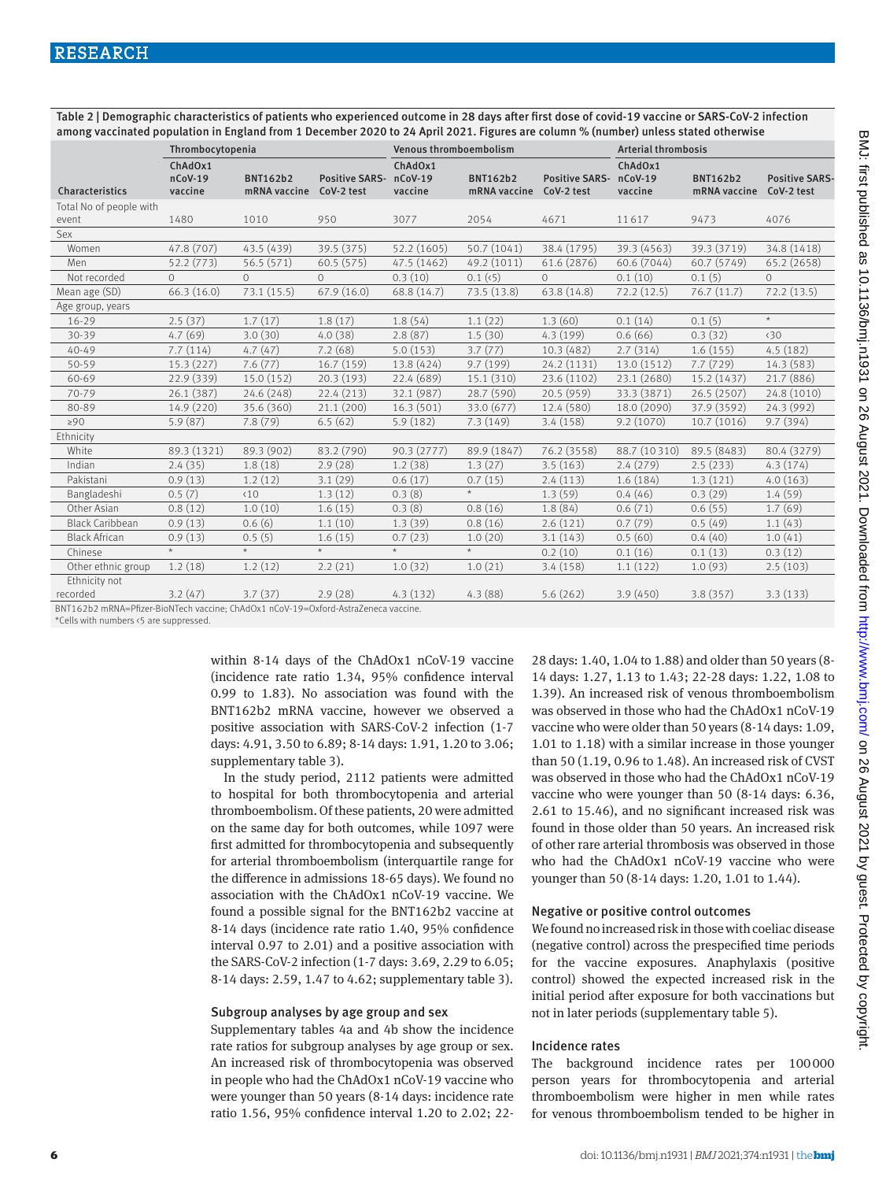Table 2 | Demographic characteristics of patients who experienced outcome in 28 days after first dose of covid-19 vaccine or SARS-CoV-2 infection among vaccinated population in England from 1 December 2020 to 24 April 2021. Figures are column % (number) unless stated otherwise

| ChAdOx1<br>ChAdOx1<br>ChAdOx1                                                                                                                                                                                                                                                  | <b>Positive SARS-</b> |
|--------------------------------------------------------------------------------------------------------------------------------------------------------------------------------------------------------------------------------------------------------------------------------|-----------------------|
| $nCoV-19$<br>$nCoV-19$<br>$nCoV-19$<br><b>BNT162b2</b><br><b>Positive SARS-</b><br><b>BNT162b2</b><br><b>Positive SARS-</b><br><b>BNT162b2</b><br>Characteristics<br>vaccine<br>mRNA vaccine<br>CoV-2 test<br>vaccine<br>mRNA vaccine<br>CoV-2 test<br>vaccine<br>mRNA vaccine | CoV-2 test            |
| Total No of people with                                                                                                                                                                                                                                                        |                       |
| 1480<br>1010<br>950<br>3077<br>2054<br>4671<br>11617<br>9473<br>event                                                                                                                                                                                                          | 4076                  |
| Sex                                                                                                                                                                                                                                                                            |                       |
| 47.8 (707)<br>43.5 (439)<br>39.5 (375)<br>52.2 (1605)<br>50.7 (1041)<br>39.3 (4563)<br>39.3 (3719)<br>Women<br>38.4 (1795)                                                                                                                                                     | 34.8 (1418)           |
| 52.2 (773)<br>56.5 (571)<br>60.5 (575)<br>47.5 (1462)<br>49.2 (1011)<br>61.6 (2876)<br>60.6 (7044)<br>60.7 (5749)<br>Men                                                                                                                                                       | 65.2 (2658)           |
| Not recorded<br>$\Omega$<br>0.1(10)<br>$\Omega$<br>$\Omega$<br>0.3(10)<br>0.1(k5)<br>$\circ$<br>0.1(5)                                                                                                                                                                         | $\circ$               |
| 73.1(15.5)<br>67.9(16.0)<br>73.5 (13.8)<br>63.8 (14.8)<br>72.2(12.5)<br>Mean age (SD)<br>66.3(16.0)<br>68.8 (14.7)<br>76.7(11.7)                                                                                                                                               | 72.2(13.5)            |
| Age group, years                                                                                                                                                                                                                                                               |                       |
| 2.5(37)<br>1.7(17)<br>1.8(17)<br>1.8(54)<br>1.1(22)<br>1.3(60)<br>0.1(14)<br>0.1(5)<br>$16 - 29$                                                                                                                                                                               | $\star$               |
| 0.6(66)<br>4.7(69)<br>3.0(30)<br>4.0(38)<br>2.8(87)<br>1.5(30)<br>4.3(199)<br>0.3(32)<br>30-39                                                                                                                                                                                 | $\langle 30$          |
| $40 - 49$<br>7.7(114)<br>4.7(47)<br>7.2(68)<br>5.0(153)<br>3.7(77)<br>2.7(314)<br>1.6(155)<br>10.3(482)                                                                                                                                                                        | 4.5(182)              |
| 7.6(77)<br>9.7 (199)<br>15.3(227)<br>16.7(159)<br>13.8 (424)<br>24.2 (1131)<br>13.0 (1512)<br>7.7(729)<br>50-59                                                                                                                                                                | 14.3 (583)            |
| 60-69<br>15.0 (152)<br>20.3(193)<br>22.4 (689)<br>15.1 (310)<br>15.2 (1437)<br>22.9 (339)<br>23.6 (1102)<br>23.1 (2680)                                                                                                                                                        | 21.7 (886)            |
| 70-79<br>26.1 (387)<br>24.6 (248)<br>22.4(213)<br>32.1 (987)<br>28.7 (590)<br>20.5 (959)<br>33.3 (3871)<br>26.5 (2507)                                                                                                                                                         | 24.8 (1010)           |
| 35.6 (360)<br>33.0 (677)<br>80-89<br>14.9 (220)<br>21.1(200)<br>16.3(501)<br>12.4 (580)<br>18.0 (2090)<br>37.9 (3592)                                                                                                                                                          | 24.3 (992)            |
| 6.5(62)<br>5.9(87)<br>7.8(79)<br>5.9(182)<br>7.3(149)<br>3.4(158)<br>9.2(1070)<br>10.7 (1016)<br>$\geq 90$                                                                                                                                                                     | 9.7(394)              |
| Ethnicity                                                                                                                                                                                                                                                                      |                       |
| 89.3 (902)<br>88.7 (10310)<br>89.3 (1321)<br>83.2 (790)<br>90.3 (2777)<br>89.9 (1847)<br>76.2 (3558)<br>89.5 (8483)<br>White                                                                                                                                                   | 80.4 (3279)           |
| Indian<br>2.4(35)<br>1.8(18)<br>2.9(28)<br>1.2(38)<br>1.3(27)<br>3.5(163)<br>2.4(279)<br>2.5(233)                                                                                                                                                                              | 4.3(174)              |
| Pakistani<br>0.9(13)<br>3.1(29)<br>0.6(17)<br>2.4(113)<br>1.6(184)<br>1.3(121)<br>1.2(12)<br>0.7(15)                                                                                                                                                                           | 4.0(163)              |
| $\star$<br>0.5(7)<br>0.3(8)<br>$\langle 10$<br>1.3(12)<br>1.3(59)<br>0.4(46)<br>0.3(29)<br>Bangladeshi                                                                                                                                                                         | 1.4(59)               |
| 1.0(10)<br>0.8(16)<br>Other Asian<br>0.8(12)<br>1.6(15)<br>0.3(8)<br>1.8(84)<br>0.6(71)<br>0.6(55)                                                                                                                                                                             | 1.7(69)               |
| <b>Black Caribbean</b><br>0.9(13)<br>0.6(6)<br>1.1(10)<br>1.3(39)<br>0.8(16)<br>2.6(121)<br>0.7(79)<br>0.5(49)                                                                                                                                                                 | 1.1(43)               |
| <b>Black African</b><br>0.9(13)<br>0.5(5)<br>0.7(23)<br>3.1(143)<br>0.5(60)<br>0.4(40)<br>1.6(15)<br>1.0(20)                                                                                                                                                                   | 1.0(41)               |
| $\star$<br>$\star$<br>$\star$<br>$\star$<br>$\star$<br>0.1(16)<br>Chinese<br>0.2(10)<br>0.1(13)                                                                                                                                                                                | 0.3(12)               |
| 1.2(18)<br>1.2(12)<br>2.2(21)<br>1.0(32)<br>1.0(21)<br>3.4(158)<br>1.1(122)<br>Other ethnic group<br>1.0(93)                                                                                                                                                                   | 2.5(103)              |
| Ethnicity not<br>recorded<br>3.2(47)<br>3.7(37)<br>2.9(28)<br>3.9(450)<br>4.3(132)<br>4.3(88)<br>5.6(262)<br>3.8(357)                                                                                                                                                          | 3.3(133)              |

BNT162b2 mRNA=Pfizer-BioNTech vaccine; ChAdOx1 nCoV-19=Oxford-AstraZeneca vaccine.

\*Cells with numbers <5 are suppressed.

within 8-14 days of the ChAdOx1 nCoV-19 vaccine (incidence rate ratio 1.34, 95% confidence interval 0.99 to 1.83). No association was found with the BNT162b2 mRNA vaccine, however we observed a positive association with SARS-CoV-2 infection (1-7 days: 4.91, 3.50 to 6.89; 8-14 days: 1.91, 1.20 to 3.06; supplementary table 3).

In the study period, 2112 patients were admitted to hospital for both thrombocytopenia and arterial thromboembolism. Of these patients, 20 were admitted on the same day for both outcomes, while 1097 were first admitted for thrombocytopenia and subsequently for arterial thromboembolism (interquartile range for the difference in admissions 18-65 days). We found no association with the ChAdOx1 nCoV-19 vaccine. We found a possible signal for the BNT162b2 vaccine at 8-14 days (incidence rate ratio 1.40, 95% confidence interval 0.97 to 2.01) and a positive association with the SARS-CoV-2 infection (1-7 days: 3.69, 2.29 to 6.05; 8-14 days: 2.59, 1.47 to 4.62; supplementary table 3).

#### Subgroup analyses by age group and sex

Supplementary tables 4a and 4b show the incidence rate ratios for subgroup analyses by age group or sex. An increased risk of thrombocytopenia was observed in people who had the ChAdOx1 nCoV-19 vaccine who were younger than 50 years (8-14 days: incidence rate ratio 1.56, 95% confidence interval 1.20 to 2.02; 2228 days: 1.40, 1.04 to 1.88) and older than 50 years (8- 14 days: 1.27, 1.13 to 1.43; 22-28 days: 1.22, 1.08 to 1.39). An increased risk of venous thromboembolism was observed in those who had the ChAdOx1 nCoV-19 vaccine who were older than 50 years (8-14 days: 1.09, 1.01 to 1.18) with a similar increase in those younger than 50 (1.19, 0.96 to 1.48). An increased risk of CVST was observed in those who had the ChAdOx1 nCoV-19 vaccine who were younger than 50 (8-14 days: 6.36, 2.61 to 15.46), and no significant increased risk was found in those older than 50 years. An increased risk of other rare arterial thrombosis was observed in those who had the ChAdOx1 nCoV-19 vaccine who were younger than 50 (8-14 days: 1.20, 1.01 to 1.44).

## Negative or positive control outcomes

We found no increased risk in those with coeliac disease (negative control) across the prespecified time periods for the vaccine exposures. Anaphylaxis (positive control) showed the expected increased risk in the initial period after exposure for both vaccinations but not in later periods (supplementary table 5).

### Incidence rates

The background incidence rates per 100000 person years for thrombocytopenia and arterial thromboembolism were higher in men while rates for venous thromboembolism tended to be higher in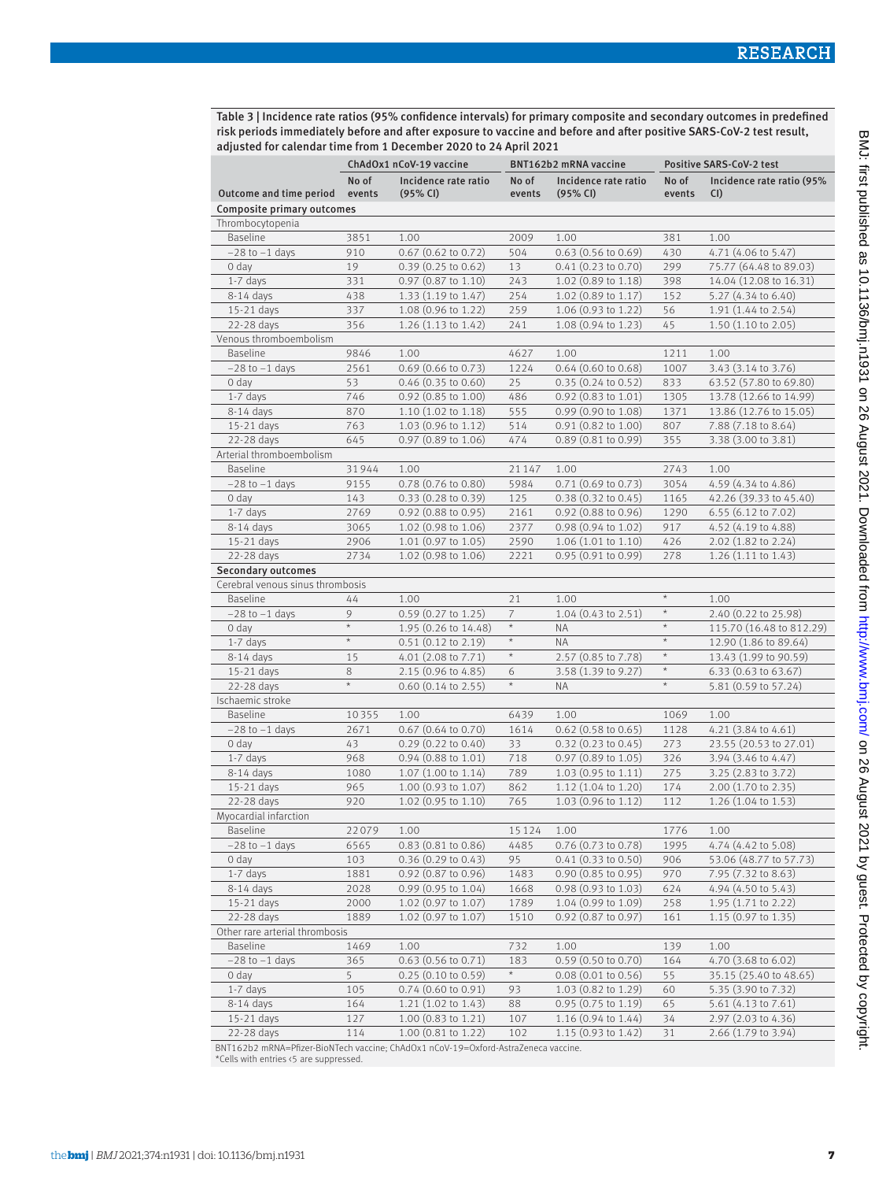Table 3 | Incidence rate ratios (95% confidence intervals) for primary composite and secondary outcomes in predefined risk periods immediately before and after exposure to vaccine and before and after positive SARS-CoV-2 test result, adjusted for calendar time from 1 December 2020 to 24 April 2021

|                                  | ChAdOx1 nCoV-19 vaccine<br>BNT162b2 mRNA vaccine |                                  | Positive SARS-CoV-2 test |                                  |                 |                                  |
|----------------------------------|--------------------------------------------------|----------------------------------|--------------------------|----------------------------------|-----------------|----------------------------------|
| Outcome and time period          | No of<br>events                                  | Incidence rate ratio<br>(95% CI) | No of<br>events          | Incidence rate ratio<br>(95% CI) | No of<br>events | Incidence rate ratio (95%<br>CI) |
| Composite primary outcomes       |                                                  |                                  |                          |                                  |                 |                                  |
| Thrombocytopenia                 |                                                  |                                  |                          |                                  |                 |                                  |
| <b>Baseline</b>                  | 3851                                             | 1.00                             | 2009                     | 1.00                             | 381             | 1.00                             |
| $-28$ to $-1$ days               | 910                                              | 0.67 (0.62 to 0.72)              | 504                      | $0.63$ (0.56 to 0.69)            | 430             | 4.71 (4.06 to 5.47)              |
| 0 day                            | 19                                               | $0.39$ (0.25 to 0.62)            | 13                       | 0.41 (0.23 to 0.70)              | 299             | 75.77 (64.48 to 89.03)           |
| $1-7$ days                       | 331                                              | $0.97$ (0.87 to 1.10)            | 243                      | $1.02$ (0.89 to 1.18)            | 398             | 14.04 (12.08 to 16.31)           |
| 8-14 days                        | 438                                              | 1.33 (1.19 to 1.47)              | 254                      | 1.02 (0.89 to 1.17)              | 152             | 5.27 (4.34 to 6.40)              |
| 15-21 days                       | 337                                              | $1.08$ (0.96 to 1.22)            | 259                      | 1.06 (0.93 to 1.22)              | 56              | 1.91 (1.44 to 2.54)              |
| 22-28 days                       | 356                                              | $1.26(1.13 \text{ to } 1.42)$    | 241                      | 1.08 (0.94 to 1.23)              | 45              | 1.50 (1.10 to 2.05)              |
| Venous thromboembolism           |                                                  |                                  |                          |                                  |                 |                                  |
| <b>Baseline</b>                  | 9846                                             | 1.00                             | 4627                     | 1.00                             | 1211            | 1.00                             |
| $-28$ to $-1$ days               | 2561                                             | $0.69$ (0.66 to 0.73)            | 1224                     | $0.64$ (0.60 to 0.68)            | 1007            | 3.43 (3.14 to 3.76)              |
| 0 day                            | 53                                               | $0.46$ (0.35 to 0.60)            | 25                       | $0.35(0.24 \text{ to } 0.52)$    | 833             | 63.52 (57.80 to 69.80)           |
| $1-7$ days                       | 746                                              | $0.92$ (0.85 to 1.00)            | 486                      | $0.92(0.83 \text{ to } 1.01)$    | 1305            | 13.78 (12.66 to 14.99)           |
| 8-14 days                        | 870                                              | 1.10 (1.02 to 1.18)              | 555                      | $0.99$ (0.90 to 1.08)            | 1371            | 13.86 (12.76 to 15.05)           |
| 15-21 days                       | 763                                              | $1.03$ (0.96 to 1.12)            | 514                      | $0.91$ $(0.82$ to $1.00)$        | 807             | 7.88 (7.18 to 8.64)              |
| 22-28 days                       | 645                                              | 0.97 (0.89 to 1.06)              | 474                      | 0.89(0.81 to 0.99)               | 355             | 3.38 (3.00 to 3.81)              |
| Arterial thromboembolism         |                                                  |                                  |                          |                                  |                 |                                  |
| <b>Baseline</b>                  | 31944                                            | 1.00                             | 21147                    | 1.00                             | 2743            | 1.00                             |
| $-28$ to $-1$ days               | 9155                                             | 0.78 (0.76 to 0.80)              | 5984                     | 0.71 (0.69 to 0.73)              | 3054            | 4.59 (4.34 to 4.86)              |
| 0 day                            | 143                                              | 0.33 (0.28 to 0.39)              | 125                      | $0.38(0.32 \text{ to } 0.45)$    | 1165            | 42.26 (39.33 to 45.40)           |
| $1-7$ days                       | 2769                                             | $0.92$ (0.88 to 0.95)            | 2161                     | $0.92$ (0.88 to 0.96)            | 1290            | 6.55 $(6.12 \text{ to } 7.02)$   |
| $8-14$ days                      | 3065                                             | 1.02 (0.98 to 1.06)              | 2377                     | $0.98(0.94 \text{ to } 1.02)$    | 917             | 4.52 (4.19 to 4.88)              |
| 15-21 days                       | 2906                                             | 1.01 (0.97 to 1.05)              | 2590                     | 1.06 (1.01 to 1.10)              | 426             | 2.02 (1.82 to 2.24)              |
| 22-28 days                       | 2734                                             | $1.02$ (0.98 to 1.06)            | 2221                     | 0.95(0.91 to 0.99)               | 278             | $1.26(1.11 \text{ to } 1.43)$    |
| <b>Secondary outcomes</b>        |                                                  |                                  |                          |                                  |                 |                                  |
| Cerebral venous sinus thrombosis |                                                  |                                  |                          |                                  |                 |                                  |
| <b>Baseline</b>                  | 44                                               | 1.00                             | 21                       | 1.00                             | $\star$         | 1.00                             |
| $-28$ to $-1$ days               | 9                                                | 0.59 (0.27 to 1.25)              | $\overline{7}$           | $1.04$ (0.43 to 2.51)            | $\star$         | 2.40 (0.22 to 25.98)             |
| 0 day                            | $\star$                                          | 1.95 (0.26 to 14.48)             | $\star$                  | NA                               | $\star$         | 115.70 (16.48 to 812.29)         |
| $1-7$ days                       | $^\star$                                         | $0.51$ $(0.12$ to $2.19)$        | $\star$                  | <b>NA</b>                        | $\star$         | 12.90 (1.86 to 89.64)            |
| 8-14 days                        | 15                                               | 4.01 (2.08 to 7.71)              | $\star$                  | 2.57 (0.85 to 7.78)              | $\star$         | 13.43 (1.99 to 90.59)            |
| 15-21 days                       | 8                                                | 2.15 (0.96 to 4.85)              | 6                        | 3.58 (1.39 to 9.27)              | $\star$         | 6.33 $(0.63 \text{ to } 63.67)$  |
| 22-28 days                       | $\star$                                          | $0.60$ $(0.14$ to $2.55)$        | $\star$                  | <b>NA</b>                        | $\star$         | 5.81 (0.59 to 57.24)             |
| Ischaemic stroke                 |                                                  |                                  |                          |                                  |                 |                                  |
| <b>Baseline</b>                  | 10355                                            | 1.00                             | 6439                     | 1.00                             | 1069            | 1.00                             |
| $-28$ to $-1$ days               | 2671                                             | $0.67$ $(0.64$ to $0.70)$        | 1614                     | $0.62$ (0.58 to 0.65)            | 1128            | 4.21 (3.84 to 4.61)              |
| 0 day                            | 43                                               | $0.29$ $(0.22$ to $0.40)$        | 33                       | $0.32(0.23 \text{ to } 0.45)$    | 273             | 23.55 (20.53 to 27.01)           |
| $1-7$ days                       | 968                                              | $0.94$ (0.88 to 1.01)            | 718                      | $0.97$ $(0.89$ to $1.05)$        | 326             | $3.94$ $(3.46 \text{ to } 4.47)$ |
| 8-14 days                        | 1080                                             | $1.07$ $(1.00 \text{ to } 1.14)$ | 789                      | 1.03 (0.95 to 1.11)              | 275             | $3.25$ (2.83 to 3.72)            |
| 15-21 days                       | 965                                              | $1.00$ (0.93 to 1.07)            | 862                      | 1.12 (1.04 to 1.20)              | 174             | 2.00 (1.70 to 2.35)              |
| 22-28 days                       | 920                                              | 1.02 (0.95 to 1.10)              | 765                      | $1.03(0.96 \text{ to } 1.12)$    | 112             | $1.26$ (1.04 to 1.53)            |
| Myocardial infarction            |                                                  |                                  |                          |                                  |                 |                                  |
| <b>Baseline</b>                  | 22079                                            | 1.00                             | 15124                    | 1.00                             | 1776            | 1.00                             |
| $-28$ to $-1$ days               | 6565                                             | $0.83$ $(0.81$ to $0.86)$        | 4485                     | 0.76 (0.73 to 0.78)              | 1995            | 4.74 (4.42 to 5.08)              |
| 0 day                            | 103                                              | 0.36(0.29 to 0.43)               | 95                       | 0.41(0.33 to 0.50)               | 906             | 53.06 (48.77 to 57.73)           |
| $1-7$ days                       | 1881                                             | 0.92 (0.87 to 0.96)              | 1483                     | 0.90 (0.85 to 0.95)              | 970             | 7.95 (7.32 to 8.63)              |
| 8-14 days                        | 2028                                             | 0.99 (0.95 to 1.04)              | 1668                     | 0.98 (0.93 to 1.03)              | 624             | $4.94(4.50 \text{ to } 5.43)$    |
| 15-21 days                       | 2000                                             | 1.02 (0.97 to 1.07)              | 1789                     | 1.04 (0.99 to 1.09)              | 258             | 1.95 (1.71 to 2.22)              |
| 22-28 days                       | 1889                                             | $1.02$ (0.97 to 1.07)            | 1510                     | $0.92$ (0.87 to 0.97)            | 161             | $1.15$ (0.97 to 1.35)            |
| Other rare arterial thrombosis   |                                                  |                                  |                          |                                  |                 |                                  |
| Baseline                         | 1469                                             | 1.00                             | 732                      | 1.00                             | 139             | 1.00                             |
| $-28$ to $-1$ days               | 365                                              | $0.63$ (0.56 to 0.71)            | 183                      | 0.59 (0.50 to 0.70)              | 164             | 4.70 (3.68 to 6.02)              |
| 0 day                            | 5                                                | $0.25$ (0.10 to 0.59)            | $\star$                  | $0.08$ (0.01 to 0.56)            | 55              | 35.15 (25.40 to 48.65)           |
| $1-7$ days                       | 105                                              | $0.74$ (0.60 to 0.91)            | 93                       | 1.03 (0.82 to 1.29)              | 60              | 5.35 (3.90 to 7.32)              |
| 8-14 days                        | 164                                              | $1.21(1.02 \text{ to } 1.43)$    | 88                       | $0.95(0.75 \text{ to } 1.19)$    | 65              | 5.61 $(4.13 \text{ to } 7.61)$   |
| 15-21 days                       | 127                                              | $1.00(0.83 \text{ to } 1.21)$    | 107                      | $1.16(0.94 \text{ to } 1.44)$    | 34              | $2.97$ $(2.03$ to 4.36)          |
| 22-28 days                       | 114                                              | $1.00$ (0.81 to 1.22)            | 102                      | $1.15(0.93 \text{ to } 1.42)$    | 31              | 2.66 (1.79 to 3.94)              |

BNT162b2 mRNA=Pfizer-BioNTech vaccine; ChAdOx1 nCoV-19=Oxford-AstraZeneca vaccine.

\*Cells with entries <5 are suppressed.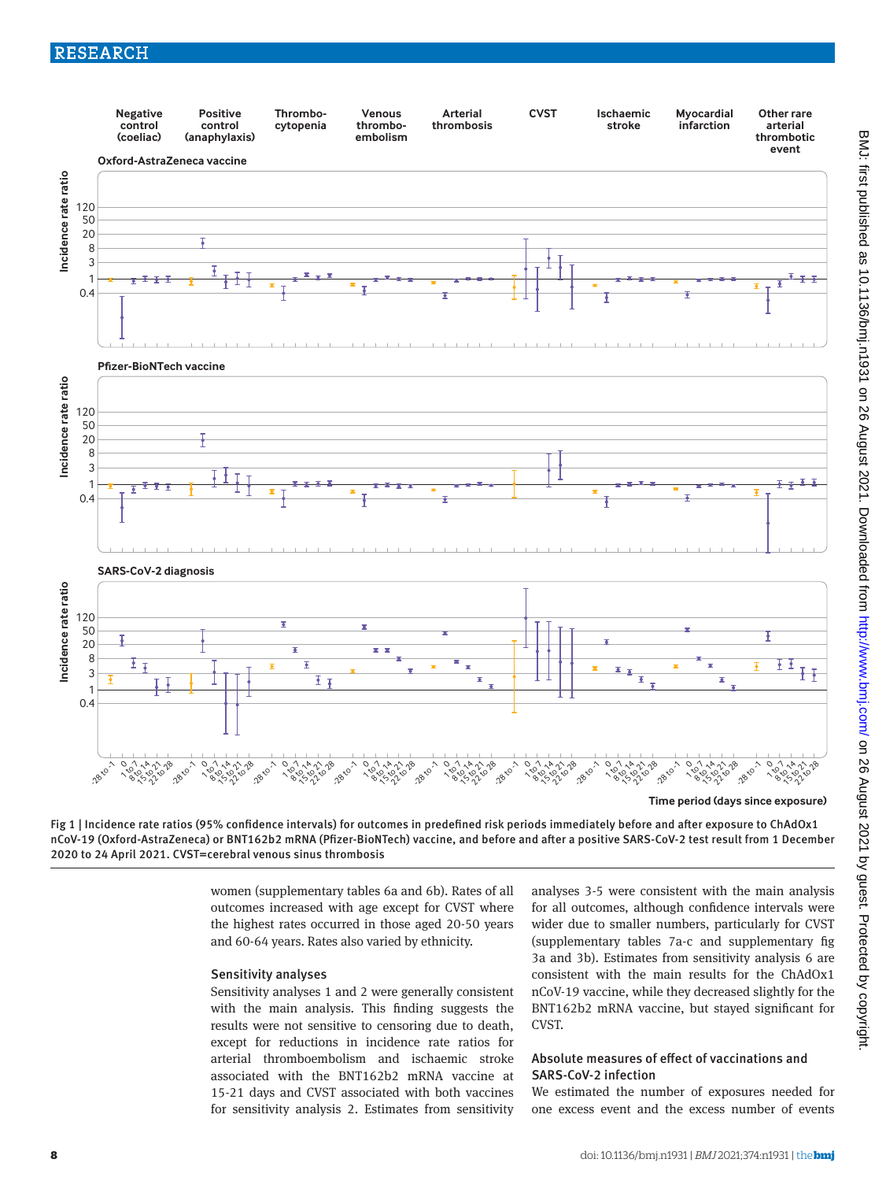# RESEARCH



**Time period (days since exposure)**

Fig 1 | Incidence rate ratios (95% confidence intervals) for outcomes in predefined risk periods immediately before and after exposure to ChAdOx1 nCoV-19 (Oxford-AstraZeneca) or BNT162b2 mRNA (Pfizer-BioNTech) vaccine, and before and after a positive SARS-CoV-2 test result from 1 December 2020 to 24 April 2021. CVST=cerebral venous sinus thrombosis

> women (supplementary tables 6a and 6b). Rates of all outcomes increased with age except for CVST where the highest rates occurred in those aged 20-50 years and 60-64 years. Rates also varied by ethnicity.

#### Sensitivity analyses

Sensitivity analyses 1 and 2 were generally consistent with the main analysis. This finding suggests the results were not sensitive to censoring due to death, except for reductions in incidence rate ratios for arterial thromboembolism and ischaemic stroke associated with the BNT162b2 mRNA vaccine at 15-21 days and CVST associated with both vaccines for sensitivity analysis 2. Estimates from sensitivity analyses 3-5 were consistent with the main analysis for all outcomes, although confidence intervals were wider due to smaller numbers, particularly for CVST (supplementary tables 7a-c and supplementary fig 3a and 3b). Estimates from sensitivity analysis 6 are consistent with the main results for the ChAdOx1 nCoV-19 vaccine, while they decreased slightly for the BNT162b2 mRNA vaccine, but stayed significant for **CVST** 

# Absolute measures of effect of vaccinations and SARS-CoV-2 infection

We estimated the number of exposures needed for one excess event and the excess number of events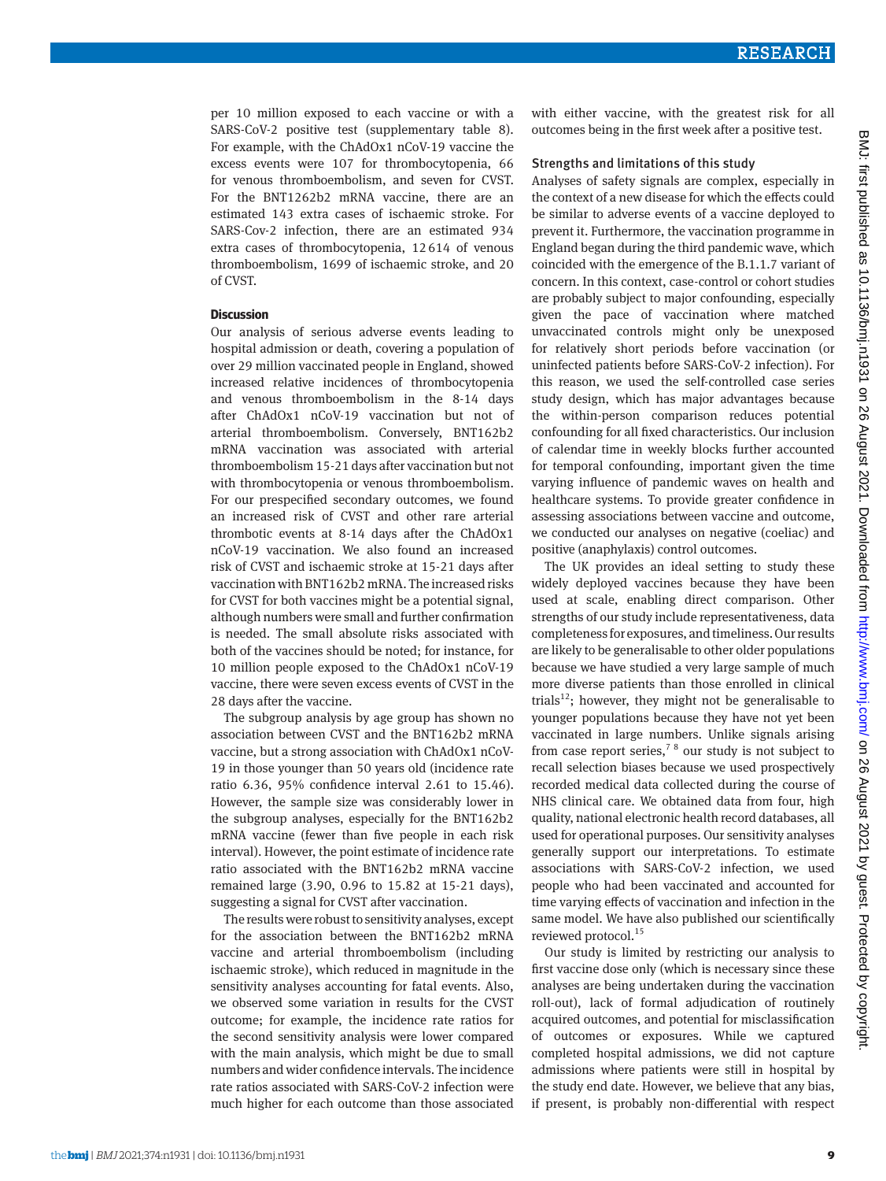per 10 million exposed to each vaccine or with a SARS-CoV-2 positive test (supplementary table 8). For example, with the ChAdOx1 nCoV-19 vaccine the excess events were 107 for thrombocytopenia, 66 for venous thromboembolism, and seven for CVST. For the BNT1262b2 mRNA vaccine, there are an estimated 143 extra cases of ischaemic stroke. For SARS-Cov-2 infection, there are an estimated 934 extra cases of thrombocytopenia, 12614 of venous thromboembolism, 1699 of ischaemic stroke, and 20 of CVST.

#### **Discussion**

Our analysis of serious adverse events leading to hospital admission or death, covering a population of over 29 million vaccinated people in England, showed increased relative incidences of thrombocytopenia and venous thromboembolism in the 8-14 days after ChAdOx1 nCoV-19 vaccination but not of arterial thromboembolism. Conversely, BNT162b2 mRNA vaccination was associated with arterial thromboembolism 15-21 days after vaccination but not with thrombocytopenia or venous thromboembolism. For our prespecified secondary outcomes, we found an increased risk of CVST and other rare arterial thrombotic events at 8-14 days after the ChAdOx1 nCoV-19 vaccination. We also found an increased risk of CVST and ischaemic stroke at 15-21 days after vaccination with BNT162b2 mRNA. The increased risks for CVST for both vaccines might be a potential signal, although numbers were small and further confirmation is needed. The small absolute risks associated with both of the vaccines should be noted; for instance, for 10 million people exposed to the ChAdOx1 nCoV-19 vaccine, there were seven excess events of CVST in the 28 days after the vaccine.

The subgroup analysis by age group has shown no association between CVST and the BNT162b2 mRNA vaccine, but a strong association with ChAdOx1 nCoV-19 in those younger than 50 years old (incidence rate ratio 6.36, 95% confidence interval 2.61 to 15.46). However, the sample size was considerably lower in the subgroup analyses, especially for the BNT162b2 mRNA vaccine (fewer than five people in each risk interval). However, the point estimate of incidence rate ratio associated with the BNT162b2 mRNA vaccine remained large (3.90, 0.96 to 15.82 at 15-21 days), suggesting a signal for CVST after vaccination.

The results were robust to sensitivity analyses, except for the association between the BNT162b2 mRNA vaccine and arterial thromboembolism (including ischaemic stroke), which reduced in magnitude in the sensitivity analyses accounting for fatal events. Also, we observed some variation in results for the CVST outcome; for example, the incidence rate ratios for the second sensitivity analysis were lower compared with the main analysis, which might be due to small numbers and wider confidence intervals. The incidence rate ratios associated with SARS-CoV-2 infection were much higher for each outcome than those associated with either vaccine, with the greatest risk for all outcomes being in the first week after a positive test.

#### Strengths and limitations of this study

Analyses of safety signals are complex, especially in the context of a new disease for which the effects could be similar to adverse events of a vaccine deployed to prevent it. Furthermore, the vaccination programme in England began during the third pandemic wave, which coincided with the emergence of the B.1.1.7 variant of concern. In this context, case-control or cohort studies are probably subject to major confounding, especially given the pace of vaccination where matched unvaccinated controls might only be unexposed for relatively short periods before vaccination (or uninfected patients before SARS-CoV-2 infection). For this reason, we used the self-controlled case series study design, which has major advantages because the within-person comparison reduces potential confounding for all fixed characteristics. Our inclusion of calendar time in weekly blocks further accounted for temporal confounding, important given the time varying influence of pandemic waves on health and healthcare systems. To provide greater confidence in assessing associations between vaccine and outcome, we conducted our analyses on negative (coeliac) and positive (anaphylaxis) control outcomes.

The UK provides an ideal setting to study these widely deployed vaccines because they have been used at scale, enabling direct comparison. Other strengths of our study include representativeness, data completeness for exposures, and timeliness. Our results are likely to be generalisable to other older populations because we have studied a very large sample of much more diverse patients than those enrolled in clinical trials<sup>12</sup>; however, they might not be generalisable to younger populations because they have not yet been vaccinated in large numbers. Unlike signals arising from case report series,<sup>78</sup> our study is not subject to recall selection biases because we used prospectively recorded medical data collected during the course of NHS clinical care. We obtained data from four, high quality, national electronic health record databases, all used for operational purposes. Our sensitivity analyses generally support our interpretations. To estimate associations with SARS-CoV-2 infection, we used people who had been vaccinated and accounted for time varying effects of vaccination and infection in the same model. We have also published our scientifically reviewed protocol.<sup>15</sup>

Our study is limited by restricting our analysis to first vaccine dose only (which is necessary since these analyses are being undertaken during the vaccination roll-out), lack of formal adjudication of routinely acquired outcomes, and potential for misclassification of outcomes or exposures. While we captured completed hospital admissions, we did not capture admissions where patients were still in hospital by the study end date. However, we believe that any bias, if present, is probably non-differential with respect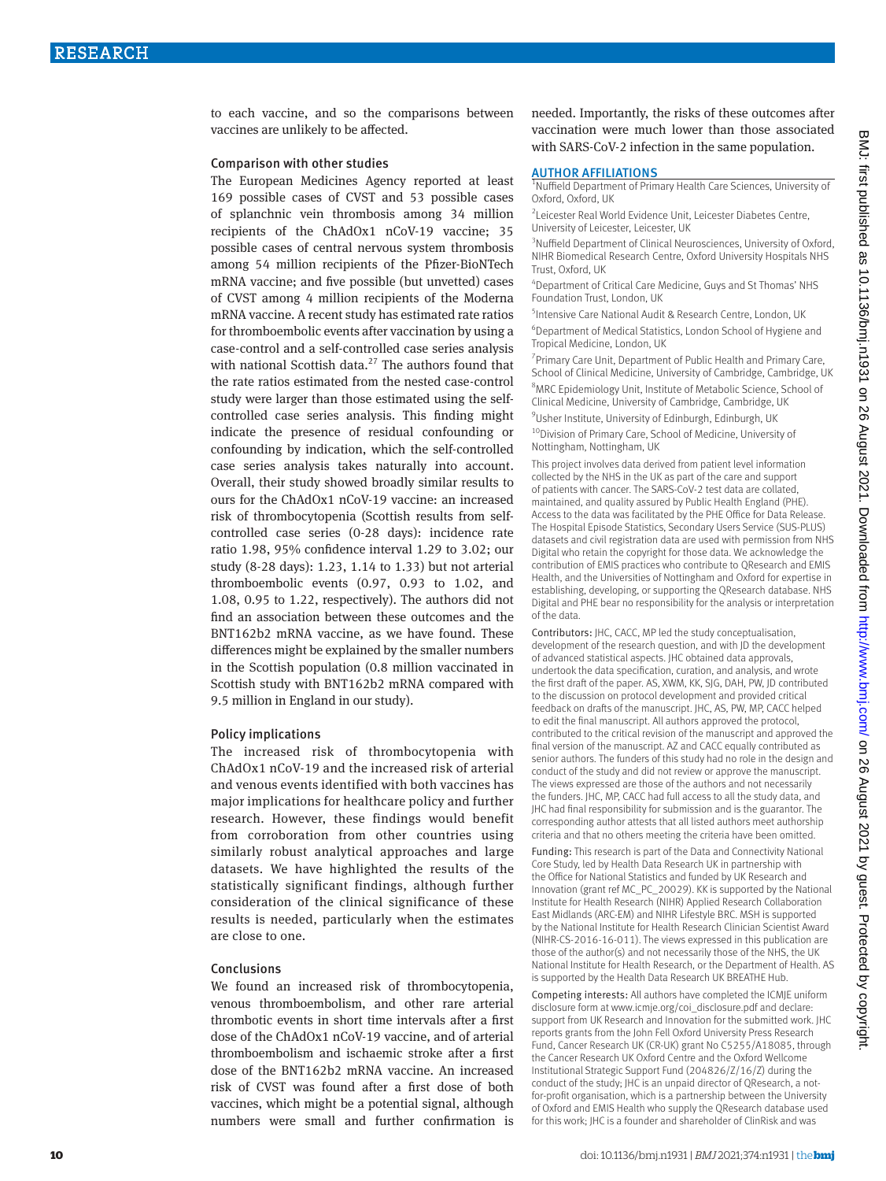to each vaccine, and so the comparisons between vaccines are unlikely to be affected.

#### Comparison with other studies

The European Medicines Agency reported at least 169 possible cases of CVST and 53 possible cases of splanchnic vein thrombosis among 34 million recipients of the ChAdOx1 nCoV-19 vaccine; 35 possible cases of central nervous system thrombosis among 54 million recipients of the Pfizer-BioNTech mRNA vaccine; and five possible (but unvetted) cases of CVST among 4 million recipients of the Moderna mRNA vaccine. A recent study has estimated rate ratios for thromboembolic events after vaccination by using a case-control and a self-controlled case series analysis with national Scottish data.<sup>27</sup> The authors found that the rate ratios estimated from the nested case-control study were larger than those estimated using the selfcontrolled case series analysis. This finding might indicate the presence of residual confounding or confounding by indication, which the self-controlled case series analysis takes naturally into account. Overall, their study showed broadly similar results to ours for the ChAdOx1 nCoV-19 vaccine: an increased risk of thrombocytopenia (Scottish results from selfcontrolled case series (0-28 days): incidence rate ratio 1.98, 95% confidence interval 1.29 to 3.02; our study (8-28 days): 1.23, 1.14 to 1.33) but not arterial thromboembolic events (0.97, 0.93 to 1.02, and 1.08, 0.95 to 1.22, respectively). The authors did not find an association between these outcomes and the BNT162b2 mRNA vaccine, as we have found. These differences might be explained by the smaller numbers in the Scottish population (0.8 million vaccinated in Scottish study with BNT162b2 mRNA compared with 9.5 million in England in our study).

### Policy implications

The increased risk of thrombocytopenia with ChAdOx1 nCoV-19 and the increased risk of arterial and venous events identified with both vaccines has major implications for healthcare policy and further research. However, these findings would benefit from corroboration from other countries using similarly robust analytical approaches and large datasets. We have highlighted the results of the statistically significant findings, although further consideration of the clinical significance of these results is needed, particularly when the estimates are close to one.

### Conclusions

We found an increased risk of thrombocytopenia, venous thromboembolism, and other rare arterial thrombotic events in short time intervals after a first dose of the ChAdOx1 nCoV-19 vaccine, and of arterial thromboembolism and ischaemic stroke after a first dose of the BNT162b2 mRNA vaccine. An increased risk of CVST was found after a first dose of both vaccines, which might be a potential signal, although numbers were small and further confirmation is

needed. Importantly, the risks of these outcomes after vaccination were much lower than those associated with SARS-CoV-2 infection in the same population.

#### AUTHOR AFFILIATIONS

<sup>1</sup>Nuffield Department of Primary Health Care Sciences, University of Oxford, Oxford, UK

2 Leicester Real World Evidence Unit, Leicester Diabetes Centre, University of Leicester, Leicester, UK

<sup>3</sup>Nuffield Department of Clinical Neurosciences, University of Oxford, NIHR Biomedical Research Centre, Oxford University Hospitals NHS Trust, Oxford, UK

4 Department of Critical Care Medicine, Guys and St Thomas' NHS Foundation Trust, London, UK

<sup>5</sup>Intensive Care National Audit & Research Centre, London, UK 6 Department of Medical Statistics, London School of Hygiene and Tropical Medicine, London, UK

<sup>7</sup> Primary Care Unit, Department of Public Health and Primary Care, School of Clinical Medicine, University of Cambridge, Cambridge, UK 8 MRC Epidemiology Unit, Institute of Metabolic Science, School of Clinical Medicine, University of Cambridge, Cambridge, UK <sup>9</sup>Usher Institute, University of Edinburgh, Edinburgh, UK

<sup>10</sup>Division of Primary Care, School of Medicine, University of Nottingham, Nottingham, UK

This project involves data derived from patient level information collected by the NHS in the UK as part of the care and support of patients with cancer. The SARS-CoV-2 test data are collated, maintained, and quality assured by Public Health England (PHE). Access to the data was facilitated by the PHE Office for Data Release. The Hospital Episode Statistics, Secondary Users Service (SUS-PLUS) datasets and civil registration data are used with permission from NHS Digital who retain the copyright for those data. We acknowledge the contribution of EMIS practices who contribute to QResearch and EMIS Health, and the Universities of Nottingham and Oxford for expertise in establishing, developing, or supporting the QResearch database. NHS Digital and PHE bear no responsibility for the analysis or interpretation of the data.

Contributors: JHC, CACC, MP led the study conceptualisation, development of the research question, and with JD the development of advanced statistical aspects. JHC obtained data approvals, undertook the data specification, curation, and analysis, and wrote the first draft of the paper. AS, XWM, KK, SJG, DAH, PW, JD contributed to the discussion on protocol development and provided critical feedback on drafts of the manuscript. JHC, AS, PW, MP, CACC helped to edit the final manuscript. All authors approved the protocol, contributed to the critical revision of the manuscript and approved the final version of the manuscript. AZ and CACC equally contributed as senior authors. The funders of this study had no role in the design and conduct of the study and did not review or approve the manuscript. The views expressed are those of the authors and not necessarily the funders. JHC, MP, CACC had full access to all the study data, and JHC had final responsibility for submission and is the guarantor. The corresponding author attests that all listed authors meet authorship criteria and that no others meeting the criteria have been omitted.

Funding: This research is part of the Data and Connectivity National Core Study, led by Health Data Research UK in partnership with the Office for National Statistics and funded by UK Research and Innovation (grant ref MC\_PC\_20029). KK is supported by the National Institute for Health Research (NIHR) Applied Research Collaboration East Midlands (ARC-EM) and NIHR Lifestyle BRC. MSH is supported by the National Institute for Health Research Clinician Scientist Award (NIHR-CS-2016-16-011). The views expressed in this publication are those of the author(s) and not necessarily those of the NHS, the UK National Institute for Health Research, or the Department of Health. AS is supported by the Health Data Research UK BREATHE Hub.

Competing interests: All authors have completed the ICMJE uniform disclosure form at [www.icmje.org/coi\\_disclosure.pdf](http://www.icmje.org/coi_disclosure.pdf) and declare: support from UK Research and Innovation for the submitted work. JHC reports grants from the John Fell Oxford University Press Research Fund, Cancer Research UK (CR-UK) grant No C5255/A18085, through the Cancer Research UK Oxford Centre and the Oxford Wellcome Institutional Strategic Support Fund (204826/Z/16/Z) during the conduct of the study; JHC is an unpaid director of QResearch, a notfor-profit organisation, which is a partnership between the University of Oxford and EMIS Health who supply the QResearch database used for this work; JHC is a founder and shareholder of ClinRisk and was